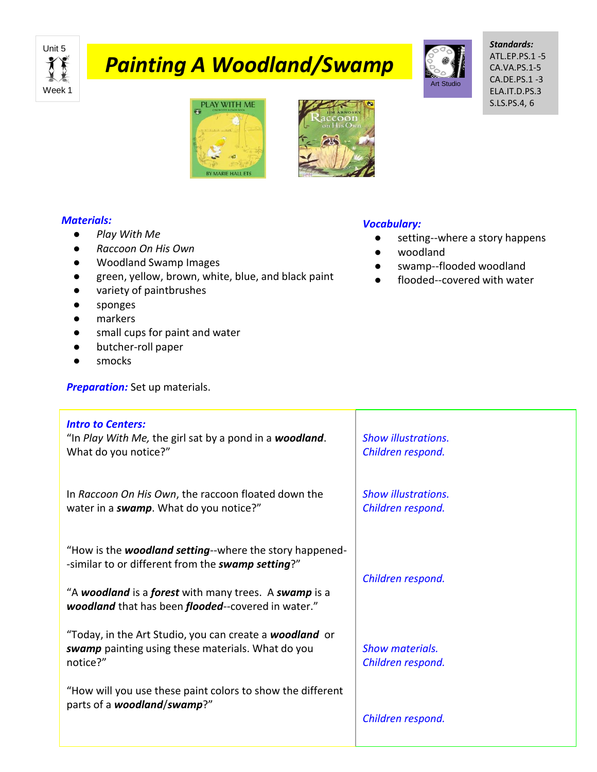

# *Painting A Woodland/Swamp*



*Standards:* ATL.EP.PS.1 -5 CA.VA.PS.1-5 CA.DE.PS.1 -3 ELA.IT.D.PS.3 S.LS.PS.4, 6





## *Materials:*

- *Play With Me*
- *Raccoon On His Own*
- Woodland Swamp Images
- green, yellow, brown, white, blue, and black paint
- variety of paintbrushes
- sponges
- markers
- small cups for paint and water
- butcher-roll paper
- smocks

**Preparation:** Set up materials.

### *Vocabulary:*

- setting--where a story happens
- woodland
- swamp--flooded woodland
- flooded--covered with water

| <b>Intro to Centers:</b><br>"In Play With Me, the girl sat by a pond in a <b>woodland</b> .<br>What do you notice?"             | <b>Show illustrations.</b><br>Children respond. |
|---------------------------------------------------------------------------------------------------------------------------------|-------------------------------------------------|
| In Raccoon On His Own, the raccoon floated down the<br>water in a <b>swamp</b> . What do you notice?"                           | <b>Show illustrations.</b><br>Children respond. |
| "How is the <b>woodland setting</b> --where the story happened-<br>-similar to or different from the swamp setting?"            | Children respond.                               |
| "A woodland is a forest with many trees. A swamp is a<br>woodland that has been flooded--covered in water."                     |                                                 |
| "Today, in the Art Studio, you can create a <b>woodland</b> or<br>swamp painting using these materials. What do you<br>notice?" | <b>Show materials.</b><br>Children respond.     |
| "How will you use these paint colors to show the different<br>parts of a woodland/swamp?"                                       | Children respond.                               |